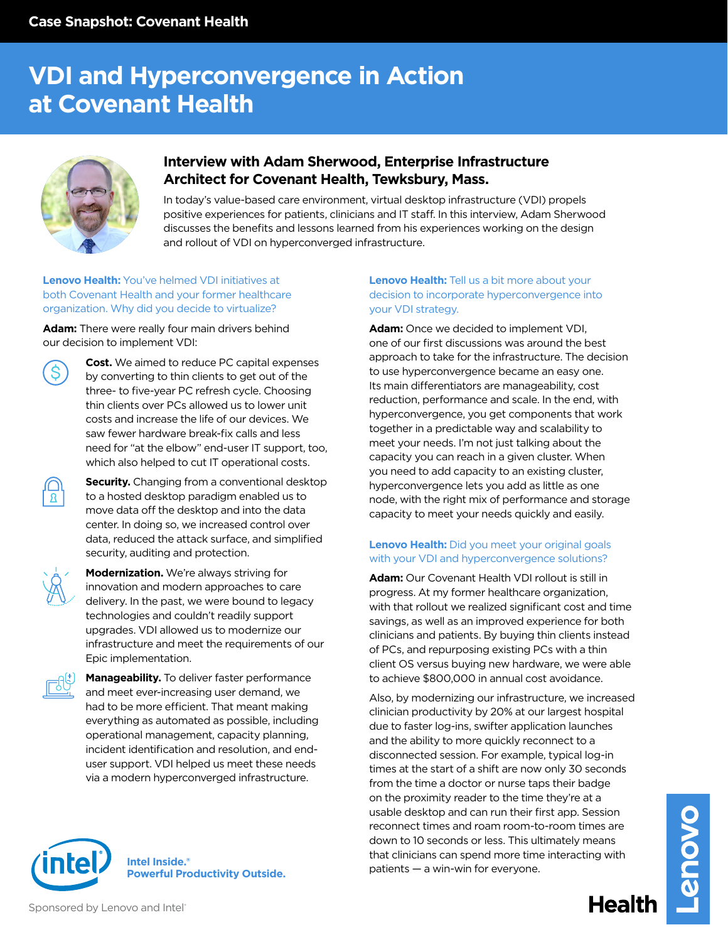# **VDI and Hyperconvergence in Action at Covenant Health**



# **Interview with Adam Sherwood, Enterprise Infrastructure Architect for Covenant Health, Tewksbury, Mass.**

In today's value-based care environment, virtual desktop infrastructure (VDI) propels positive experiences for patients, clinicians and IT staff. In this interview, Adam Sherwood discusses the benefits and lessons learned from his experiences working on the design and rollout of VDI on hyperconverged infrastructure.

# **Lenovo Health:** You've helmed VDI initiatives at both Covenant Health and your former healthcare organization. Why did you decide to virtualize?

**Adam:** There were really four main drivers behind our decision to implement VDI:



**Cost.** We aimed to reduce PC capital expenses by converting to thin clients to get out of the three- to five-year PC refresh cycle. Choosing thin clients over PCs allowed us to lower unit costs and increase the life of our devices. We saw fewer hardware break-fix calls and less need for "at the elbow" end-user IT support, too, which also helped to cut IT operational costs.



**Security.** Changing from a conventional desktop to a hosted desktop paradigm enabled us to move data off the desktop and into the data center. In doing so, we increased control over data, reduced the attack surface, and simplified security, auditing and protection.



**Modernization.** We're always striving for innovation and modern approaches to care delivery. In the past, we were bound to legacy technologies and couldn't readily support upgrades. VDI allowed us to modernize our infrastructure and meet the requirements of our Epic implementation.



**Manageability.** To deliver faster performance and meet ever-increasing user demand, we had to be more efficient. That meant making everything as automated as possible, including operational management, capacity planning, incident identification and resolution, and enduser support. VDI helped us meet these needs via a modern hyperconverged infrastructure.

### **Intel Inside.® Powerful Productivity Outside.**

# **Lenovo Health:** Tell us a bit more about your decision to incorporate hyperconvergence into your VDI strategy.

**Adam:** Once we decided to implement VDI, one of our first discussions was around the best approach to take for the infrastructure. The decision to use hyperconvergence became an easy one. Its main differentiators are manageability, cost reduction, performance and scale. In the end, with hyperconvergence, you get components that work together in a predictable way and scalability to meet your needs. I'm not just talking about the capacity you can reach in a given cluster. When you need to add capacity to an existing cluster, hyperconvergence lets you add as little as one node, with the right mix of performance and storage capacity to meet your needs quickly and easily.

# **Lenovo Health:** Did you meet your original goals with your VDI and hyperconvergence solutions?

**Adam:** Our Covenant Health VDI rollout is still in progress. At my former healthcare organization, with that rollout we realized significant cost and time savings, as well as an improved experience for both clinicians and patients. By buying thin clients instead of PCs, and repurposing existing PCs with a thin client OS versus buying new hardware, we were able to achieve \$800,000 in annual cost avoidance.

Also, by modernizing our infrastructure, we increased clinician productivity by 20% at our largest hospital due to faster log-ins, swifter application launches and the ability to more quickly reconnect to a disconnected session. For example, typical log-in times at the start of a shift are now only 30 seconds from the time a doctor or nurse taps their badge on the proximity reader to the time they're at a usable desktop and can run their first app. Session reconnect times and roam room-to-room times are down to 10 seconds or less. This ultimately means that clinicians can spend more time interacting with patients — a win-win for everyone.

Health